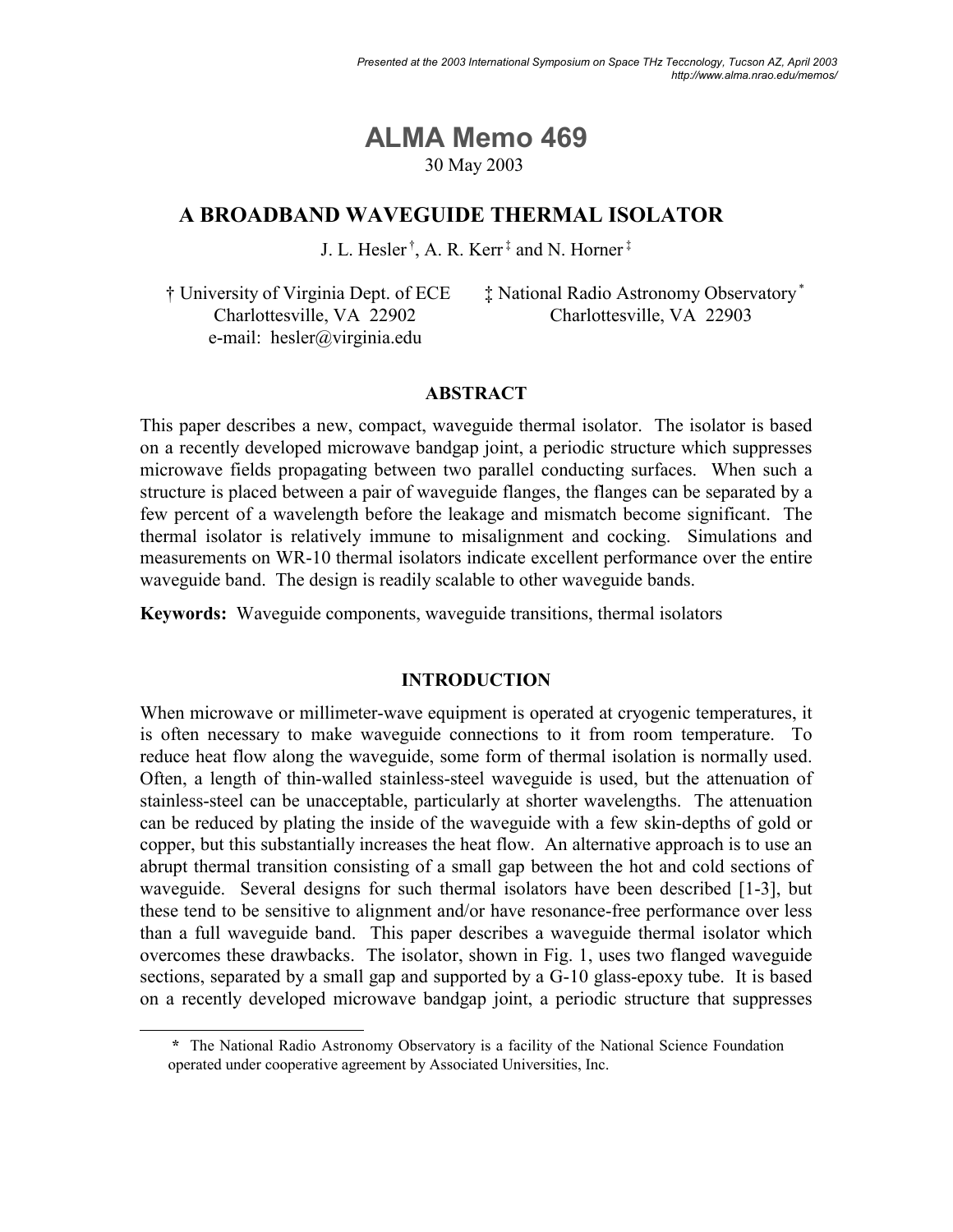# **ALMA Memo 469** 30 May 2003

## **A BROADBAND WAVEGUIDE THERMAL ISOLATOR**

J. L. Hesler<sup>†</sup>, A. R. Kerr<sup>‡</sup> and N. Horner<sup>‡</sup>

<sup>†</sup> University of Virginia Dept. of ECE Charlottesville, VA 22902 e-mail: hesler@virginia.edu

 $\ddagger$  National Radio Astronomy Observatory Charlottesville, VA 22903

## **ABSTRACT**

This paper describes a new, compact, waveguide thermal isolator. The isolator is based on a recently developed microwave bandgap joint, a periodic structure which suppresses microwave fields propagating between two parallel conducting surfaces. When such a structure is placed between a pair of waveguide flanges, the flanges can be separated by a few percent of a wavelength before the leakage and mismatch become significant. The thermal isolator is relatively immune to misalignment and cocking. Simulations and measurements on WR-10 thermal isolators indicate excellent performance over the entire waveguide band. The design is readily scalable to other waveguide bands.

**Keywords:** Waveguide components, waveguide transitions, thermal isolators

## **INTRODUCTION**

When microwave or millimeter-wave equipment is operated at cryogenic temperatures, it is often necessary to make waveguide connections to it from room temperature. To reduce heat flow along the waveguide, some form of thermal isolation is normally used. Often, a length of thin-walled stainless-steel waveguide is used, but the attenuation of stainless-steel can be unacceptable, particularly at shorter wavelengths. The attenuation can be reduced by plating the inside of the waveguide with a few skin-depths of gold or copper, but this substantially increases the heat flow. An alternative approach is to use an abrupt thermal transition consisting of a small gap between the hot and cold sections of waveguide. Several designs for such thermal isolators have been described [1-3], but these tend to be sensitive to alignment and/or have resonance-free performance over less than a full waveguide band. This paper describes a waveguide thermal isolator which overcomes these drawbacks. The isolator, shown in Fig. 1, uses two flanged waveguide sections, separated by a small gap and supported by a G-10 glass-epoxy tube. It is based on a recently developed microwave bandgap joint, a periodic structure that suppresses

**<sup>\*</sup>** The National Radio Astronomy Observatory is a facility of the National Science Foundation operated under cooperative agreement by Associated Universities, Inc.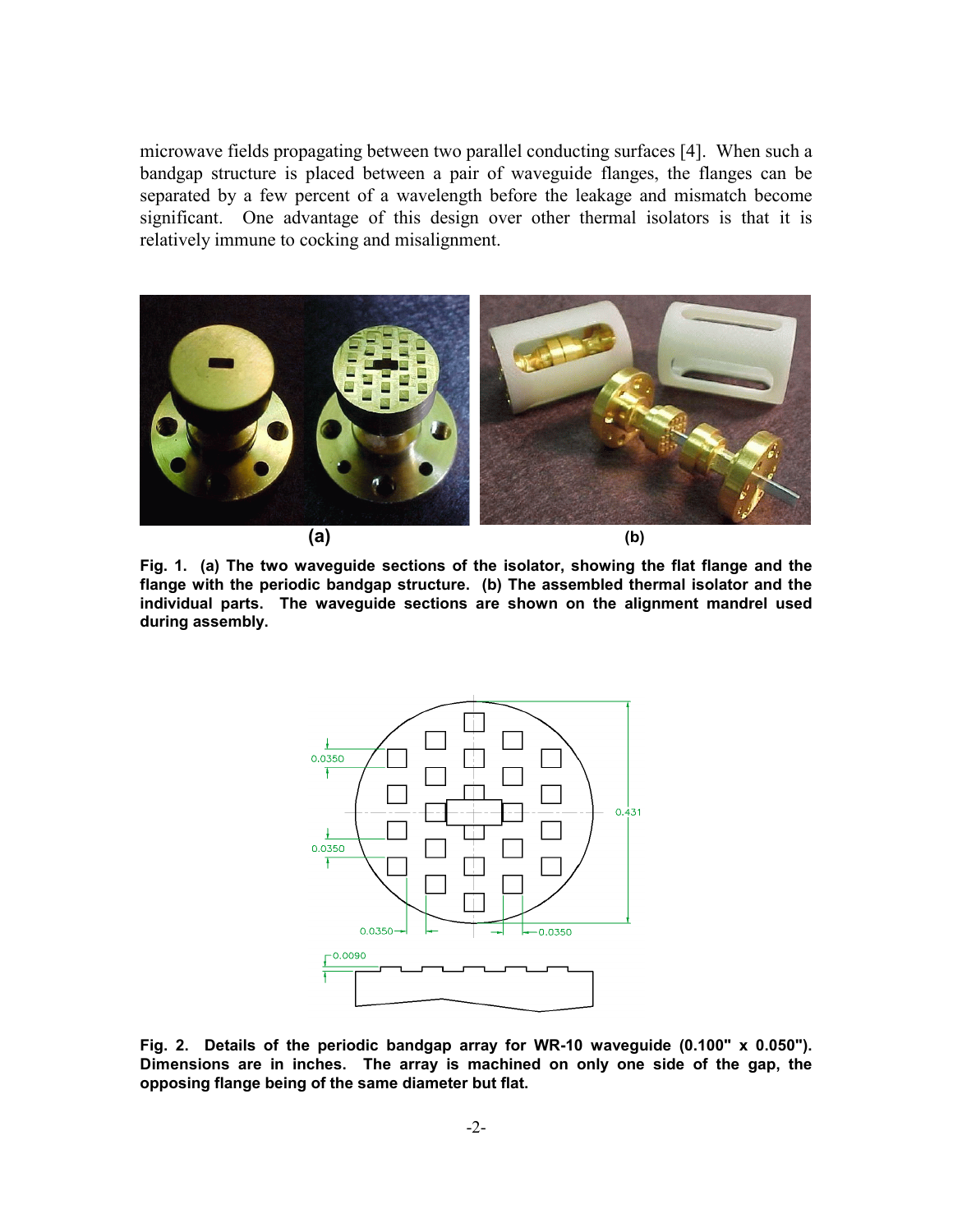microwave fields propagating between two parallel conducting surfaces [4]. When such a bandgap structure is placed between a pair of waveguide flanges, the flanges can be separated by a few percent of a wavelength before the leakage and mismatch become significant. One advantage of this design over other thermal isolators is that it is relatively immune to cocking and misalignment.



**Fig. 1. (a) The two waveguide sections of the isolator, showing the flat flange and the flange with the periodic bandgap structure. (b) The assembled thermal isolator and the individual parts. The waveguide sections are shown on the alignment mandrel used during assembly.**



**Fig. 2. Details of the periodic bandgap array for WR-10 waveguide (0.100" x 0.050"). Dimensions are in inches. The array is machined on only one side of the gap, the opposing flange being of the same diameter but flat.**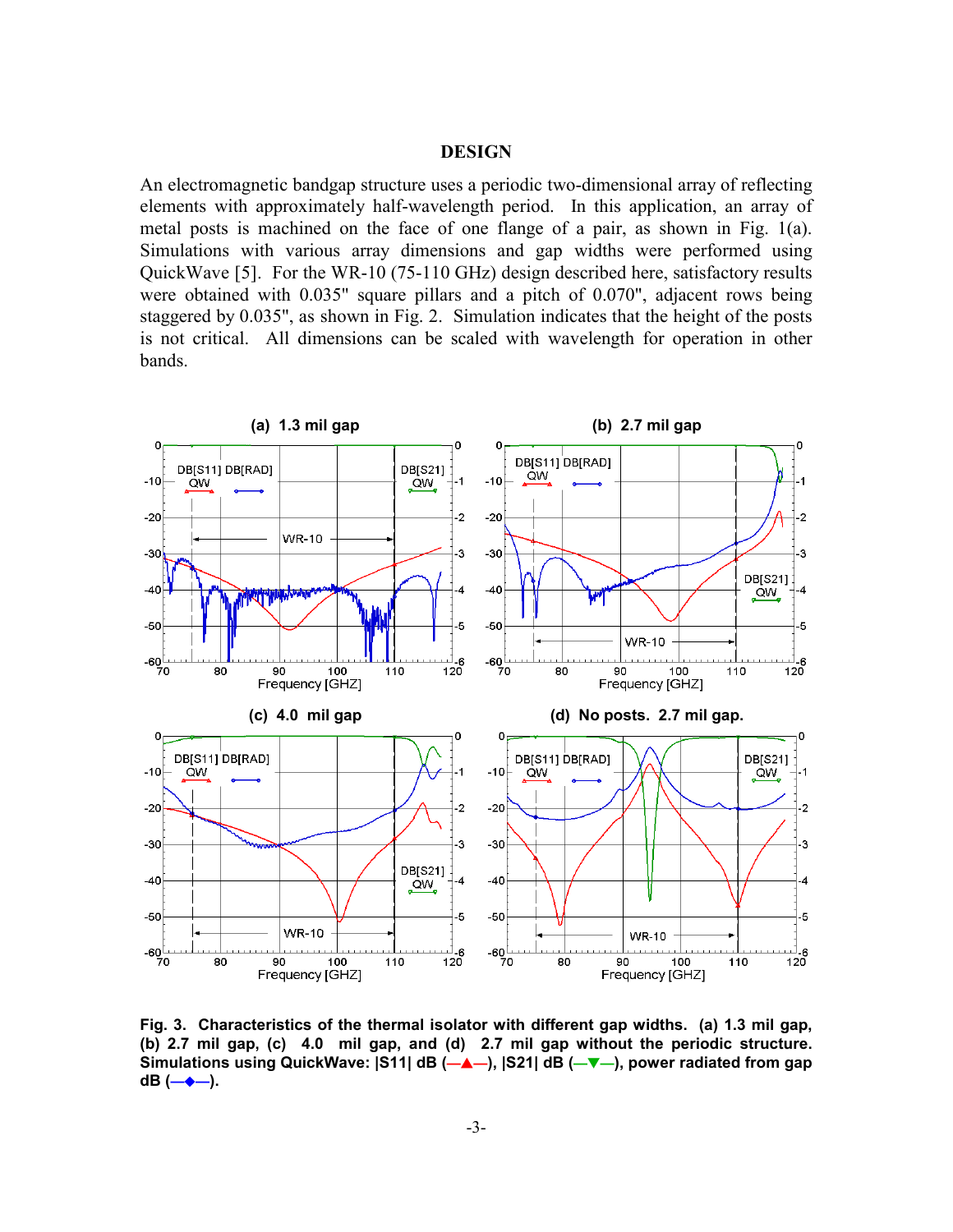#### **DESIGN**

An electromagnetic bandgap structure uses a periodic two-dimensional array of reflecting elements with approximately half-wavelength period. In this application, an array of metal posts is machined on the face of one flange of a pair, as shown in Fig. 1(a). Simulations with various array dimensions and gap widths were performed using QuickWave [5]. For the WR-10 (75-110 GHz) design described here, satisfactory results were obtained with 0.035" square pillars and a pitch of 0.070", adjacent rows being staggered by 0.035", as shown in Fig. 2. Simulation indicates that the height of the posts is not critical. All dimensions can be scaled with wavelength for operation in other bands.



**Fig. 3. Characteristics of the thermal isolator with different gap widths. (a) 1.3 mil gap, (b) 2.7 mil gap, (c) 4.0 mil gap, and (d) 2.7 mil gap without the periodic structure.** Simulations using QuickWave: |S11| dB (—▲—), |S21| dB (—▼—), power radiated from gap **dB** (→◆→).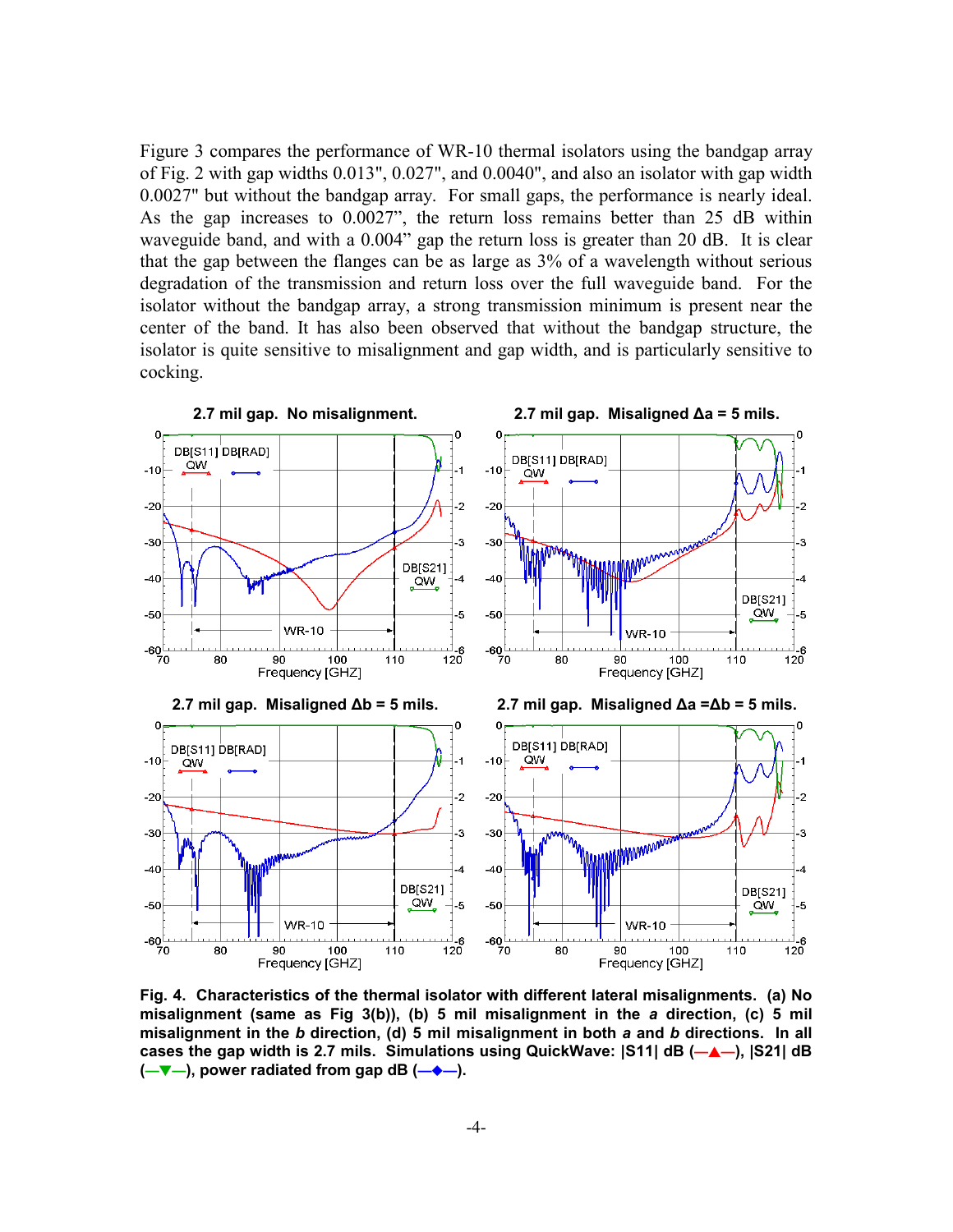Figure 3 compares the performance of WR-10 thermal isolators using the bandgap array of Fig. 2 with gap widths 0.013", 0.027", and 0.0040", and also an isolator with gap width 0.0027" but without the bandgap array. For small gaps, the performance is nearly ideal. As the gap increases to 0.0027", the return loss remains better than 25 dB within waveguide band, and with a 0.004" gap the return loss is greater than 20 dB. It is clear that the gap between the flanges can be as large as 3% of a wavelength without serious degradation of the transmission and return loss over the full waveguide band. For the isolator without the bandgap array, a strong transmission minimum is present near the center of the band. It has also been observed that without the bandgap structure, the isolator is quite sensitive to misalignment and gap width, and is particularly sensitive to cocking.



**Fig. 4. Characteristics of the thermal isolator with different lateral misalignments. (a) No misalignment (same as Fig 3(b)), (b) 5 mil misalignment in the** *a* **direction, (c) 5 mil misalignment in the** *b* **direction, (d) 5 mil misalignment in both** *a* **and** *b* **directions. In all** cases the gap width is 2.7 mils. Simulations using QuickWave:  $|S11|$  dB (-A-),  $|S21|$  dB **(-V**–), power radiated from gap dB (-◆–).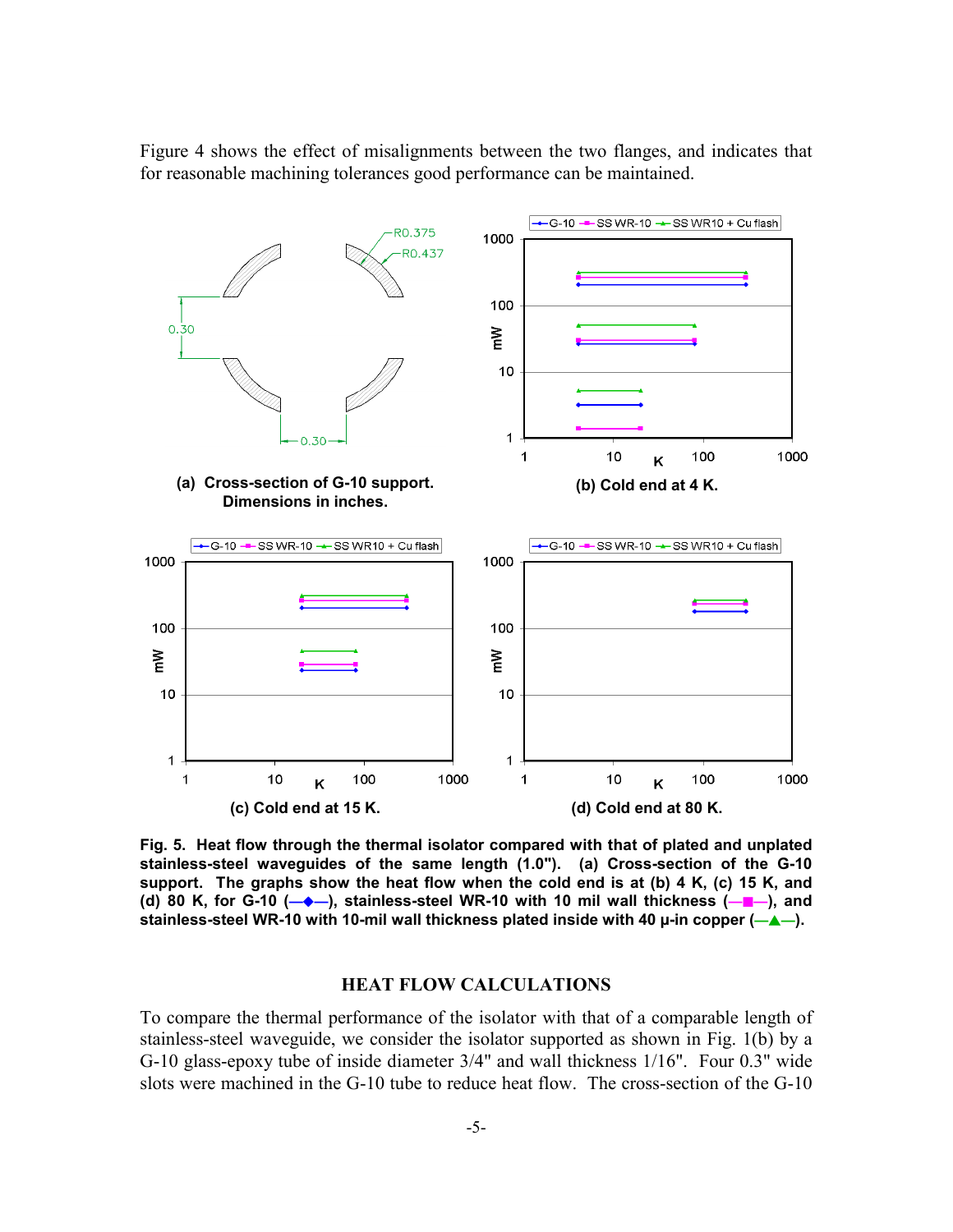Figure 4 shows the effect of misalignments between the two flanges, and indicates that for reasonable machining tolerances good performance can be maintained.



**Fig. 5. Heat flow through the thermal isolator compared with that of plated and unplated stainless-steel waveguides of the same length (1.0"). (a) Cross-section of the G-10 support. The graphs show the heat flow when the cold end is at (b) 4 K, (c) 15 K, and (d) 80 K, for G-10 (→→), stainless-steel WR-10 with 10 mil wall thickness (→■→), and** stainless-steel WR-10 with 10-mil wall thickness plated inside with 40 µ-in copper ( $\leftarrow \blacktriangle -$ ).

## **HEAT FLOW CALCULATIONS**

To compare the thermal performance of the isolator with that of a comparable length of stainless-steel waveguide, we consider the isolator supported as shown in Fig. 1(b) by a G-10 glass-epoxy tube of inside diameter 3/4" and wall thickness 1/16". Four 0.3" wide slots were machined in the G-10 tube to reduce heat flow. The cross-section of the G-10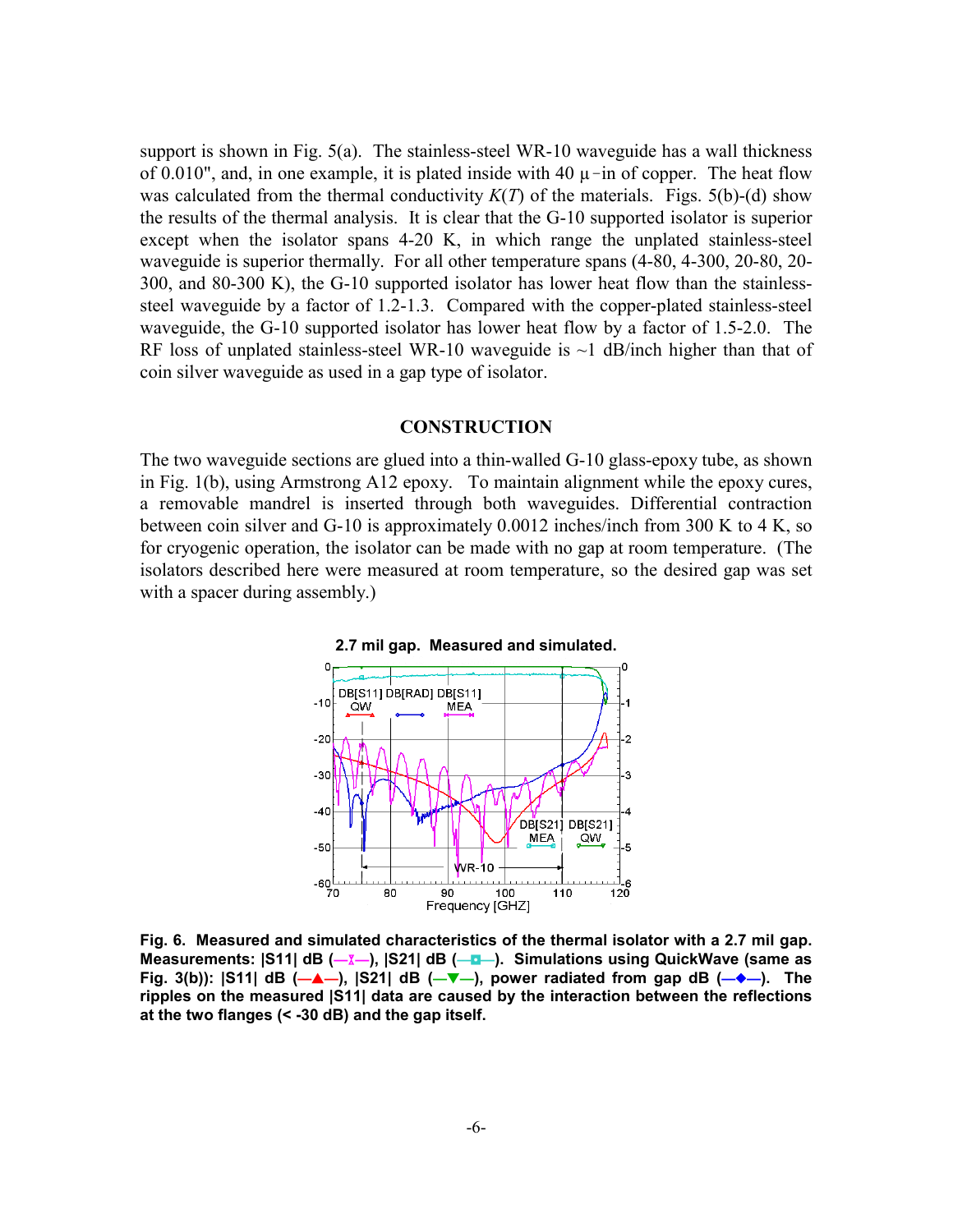support is shown in Fig.  $5(a)$ . The stainless-steel WR-10 waveguide has a wall thickness of 0.010", and, in one example, it is plated inside with 40  $\mu$ -in of copper. The heat flow was calculated from the thermal conductivity *Κ*(*T*) of the materials. Figs. 5(b)-(d) show the results of the thermal analysis. It is clear that the G-10 supported isolator is superior except when the isolator spans 4-20 K, in which range the unplated stainless-steel waveguide is superior thermally. For all other temperature spans (4-80, 4-300, 20-80, 20- 300, and 80-300 K), the G-10 supported isolator has lower heat flow than the stainlesssteel waveguide by a factor of 1.2-1.3. Compared with the copper-plated stainless-steel waveguide, the G-10 supported isolator has lower heat flow by a factor of 1.5-2.0. The RF loss of unplated stainless-steel WR-10 waveguide is  $\sim$ 1 dB/inch higher than that of coin silver waveguide as used in a gap type of isolator.

#### **CONSTRUCTION**

The two waveguide sections are glued into a thin-walled G-10 glass-epoxy tube, as shown in Fig. 1(b), using Armstrong A12 epoxy. To maintain alignment while the epoxy cures, a removable mandrel is inserted through both waveguides. Differential contraction between coin silver and G-10 is approximately 0.0012 inches/inch from 300 K to 4 K, so for cryogenic operation, the isolator can be made with no gap at room temperature. (The isolators described here were measured at room temperature, so the desired gap was set with a spacer during assembly.)



**Fig. 6. Measured and simulated characteristics of the thermal isolator with a 2.7 mil gap. Measurements: |S11| dB (-<u>X</u>-), |S21| dB (-<b>n**-). Simulations using QuickWave (same as **Fig. 3(b)): |S11| dB (--A-), |S21| dB (--V-), power radiated from gap dB (--+).** The **ripples on the measured |S11| data are caused by the interaction between the reflections at the two flanges (< -30 dB) and the gap itself.**